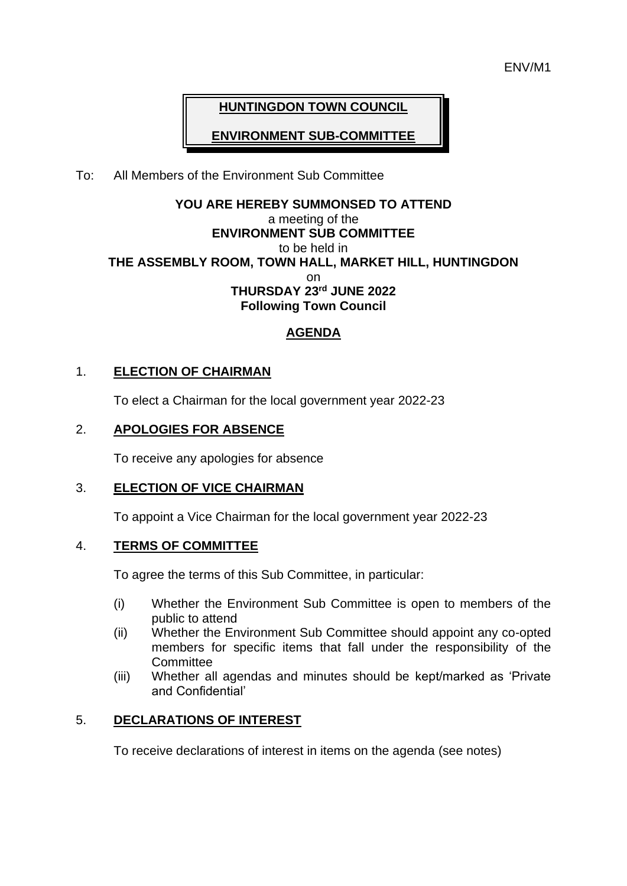# **HUNTINGDON TOWN COUNCIL**

**ENVIRONMENT SUB-COMMITTEE**

## To: All Members of the Environment Sub Committee

## **YOU ARE HEREBY SUMMONSED TO ATTEND** a meeting of the **ENVIRONMENT SUB COMMITTEE** to be held in **THE ASSEMBLY ROOM, TOWN HALL, MARKET HILL, HUNTINGDON** on **THURSDAY 23rd JUNE 2022 Following Town Council**

# **AGENDA**

## 1. **ELECTION OF CHAIRMAN**

To elect a Chairman for the local government year 2022-23

## 2. **APOLOGIES FOR ABSENCE**

To receive any apologies for absence

## 3. **ELECTION OF VICE CHAIRMAN**

To appoint a Vice Chairman for the local government year 2022-23

## 4. **TERMS OF COMMITTEE**

To agree the terms of this Sub Committee, in particular:

- (i) Whether the Environment Sub Committee is open to members of the public to attend
- (ii) Whether the Environment Sub Committee should appoint any co-opted members for specific items that fall under the responsibility of the **Committee**
- (iii) Whether all agendas and minutes should be kept/marked as 'Private and Confidential'

## 5. **DECLARATIONS OF INTEREST**

To receive declarations of interest in items on the agenda (see notes)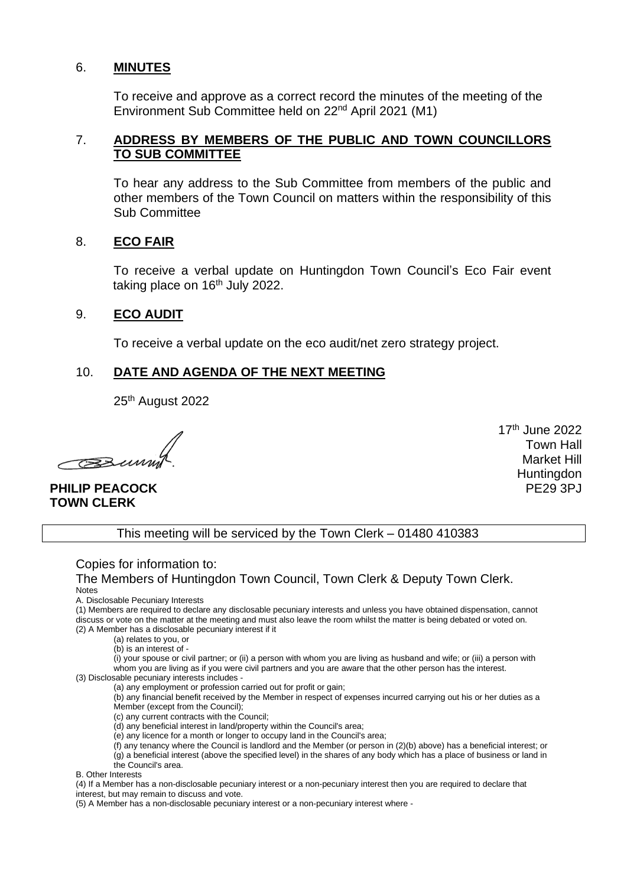#### 6. **MINUTES**

To receive and approve as a correct record the minutes of the meeting of the Environment Sub Committee held on 22nd April 2021 (M1)

### 7. **ADDRESS BY MEMBERS OF THE PUBLIC AND TOWN COUNCILLORS TO SUB COMMITTEE**

To hear any address to the Sub Committee from members of the public and other members of the Town Council on matters within the responsibility of this Sub Committee

### 8. **ECO FAIR**

To receive a verbal update on Huntingdon Town Council's Eco Fair event taking place on  $16<sup>th</sup>$  July 2022.

### 9. **ECO AUDIT**

To receive a verbal update on the eco audit/net zero strategy project.

## 10. **DATE AND AGENDA OF THE NEXT MEETING**

25th August 2022

 $\sim$ 

**PHILIP PEACOCK TOWN CLERK**

17 th June 2022 Town Hall Market Hill **Huntingdon** PE29 3PJ

This meeting will be serviced by the Town Clerk – 01480 410383

Copies for information to:

The Members of Huntingdon Town Council, Town Clerk & Deputy Town Clerk. Notes

A. Disclosable Pecuniary Interests

(1) Members are required to declare any disclosable pecuniary interests and unless you have obtained dispensation, cannot discuss or vote on the matter at the meeting and must also leave the room whilst the matter is being debated or voted on. (2) A Member has a disclosable pecuniary interest if it

(a) relates to you, or

(b) is an interest of -

(i) your spouse or civil partner; or (ii) a person with whom you are living as husband and wife; or (iii) a person with whom you are living as if you were civil partners and you are aware that the other person has the interest.

(3) Disclosable pecuniary interests includes -

(a) any employment or profession carried out for profit or gain;

(b) any financial benefit received by the Member in respect of expenses incurred carrying out his or her duties as a Member (except from the Council);

(c) any current contracts with the Council;

(d) any beneficial interest in land/property within the Council's area;

(e) any licence for a month or longer to occupy land in the Council's area;

(f) any tenancy where the Council is landlord and the Member (or person in (2)(b) above) has a beneficial interest; or

(g) a beneficial interest (above the specified level) in the shares of any body which has a place of business or land in the Council's area.

B. Other Interests

(4) If a Member has a non-disclosable pecuniary interest or a non-pecuniary interest then you are required to declare that interest, but may remain to discuss and vote.

(5) A Member has a non-disclosable pecuniary interest or a non-pecuniary interest where -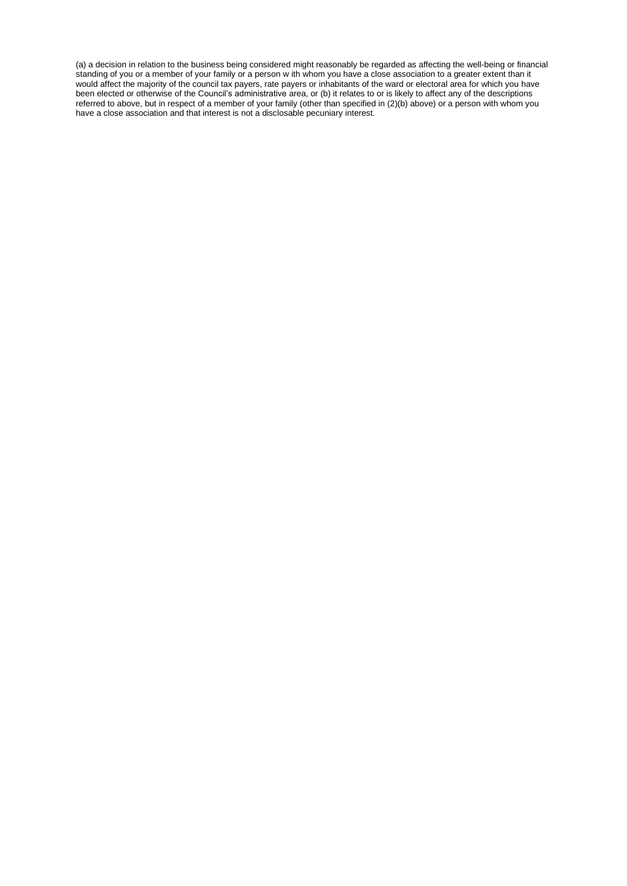(a) a decision in relation to the business being considered might reasonably be regarded as affecting the well-being or financial standing of you or a member of your family or a person w ith whom you have a close association to a greater extent than it would affect the majority of the council tax payers, rate payers or inhabitants of the ward or electoral area for which you have been elected or otherwise of the Council's administrative area, or (b) it relates to or is likely to affect any of the descriptions referred to above, but in respect of a member of your family (other than specified in (2)(b) above) or a person with whom you have a close association and that interest is not a disclosable pecuniary interest.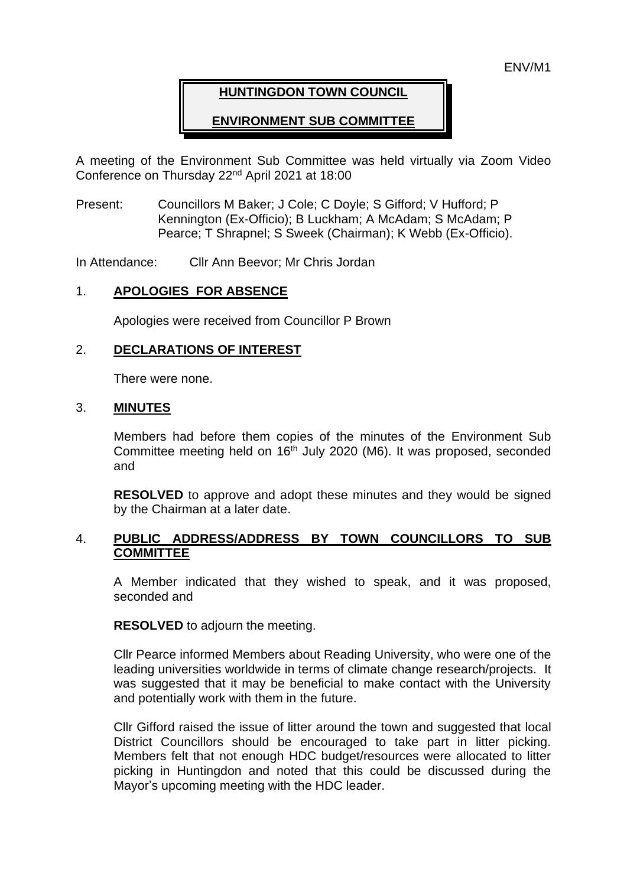## **HUNTINGDON TOWN COUNCIL**

## **ENVIRONMENT SUB COMMITTEE**

A meeting of the Environment Sub Committee was held virtually via Zoom Video Conference on Thursday 22nd April 2021 at 18:00

Present: Councillors M Baker; J Cole; C Doyle; S Gifford; V Hufford; P Kennington (Ex-Officio); B Luckham; A McAdam; S McAdam; P Pearce; T Shrapnel; S Sweek (Chairman); K Webb (Ex-Officio).

In Attendance: Cllr Ann Beevor; Mr Chris Jordan

#### 1. **APOLOGIES FOR ABSENCE**

Apologies were received from Councillor P Brown

#### 2. **DECLARATIONS OF INTEREST**

There were none.

#### 3. **MINUTES**

Members had before them copies of the minutes of the Environment Sub Committee meeting held on 16<sup>th</sup> July 2020 (M6). It was proposed, seconded and

**RESOLVED** to approve and adopt these minutes and they would be signed by the Chairman at a later date.

## 4. **PUBLIC ADDRESS/ADDRESS BY TOWN COUNCILLORS TO SUB COMMITTEE**

A Member indicated that they wished to speak, and it was proposed, seconded and

**RESOLVED** to adjourn the meeting.

Cllr Pearce informed Members about Reading University, who were one of the leading universities worldwide in terms of climate change research/projects. It was suggested that it may be beneficial to make contact with the University and potentially work with them in the future.

Cllr Gifford raised the issue of litter around the town and suggested that local District Councillors should be encouraged to take part in litter picking. Members felt that not enough HDC budget/resources were allocated to litter picking in Huntingdon and noted that this could be discussed during the Mayor's upcoming meeting with the HDC leader.